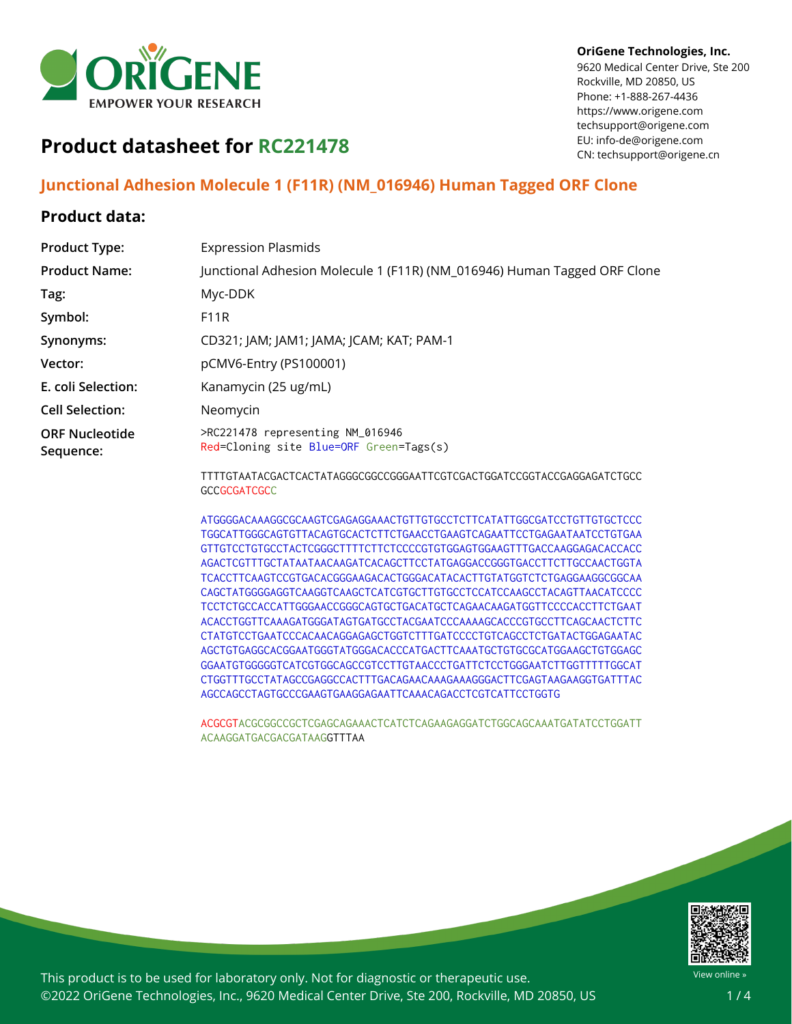

#### **OriGene Technologies, Inc.**

9620 Medical Center Drive, Ste 200 Rockville, MD 20850, US Phone: +1-888-267-4436 https://www.origene.com techsupport@origene.com EU: info-de@origene.com CN: techsupport@origene.cn

# **Product datasheet for RC221478**

## **Junctional Adhesion Molecule 1 (F11R) (NM\_016946) Human Tagged ORF Clone**

### **Product data:**

| <b>Product Type:</b>               | <b>Expression Plasmids</b>                                                  |
|------------------------------------|-----------------------------------------------------------------------------|
| <b>Product Name:</b>               | Junctional Adhesion Molecule 1 (F11R) (NM_016946) Human Tagged ORF Clone    |
| Tag:                               | Myc-DDK                                                                     |
| Symbol:                            | <b>F11R</b>                                                                 |
| Synonyms:                          | CD321; JAM; JAM1; JAMA; JCAM; KAT; PAM-1                                    |
| Vector:                            | pCMV6-Entry (PS100001)                                                      |
| E. coli Selection:                 | Kanamycin (25 ug/mL)                                                        |
| <b>Cell Selection:</b>             | Neomycin                                                                    |
| <b>ORF Nucleotide</b><br>Sequence: | >RC221478 representing NM_016946<br>Red=Cloning site Blue=ORF Green=Tags(s) |
|                                    | TTTTGTAATACGACTCACTATAGGGCGGCCGGGAATTCGTCGACTGGATCCGGTACCGAGGAGATCTGCC      |

TTTTGTAATACGACTCACTATAGGGCGGCCGGGAATTCGTCGACTGGATCCGGTACCGAGGAGATCTGCC **GCCGCGATCGCC** 

ATGGGGACAAAGGCGCAAGTCGAGAGGAAACTGTTGTGCCTCTTCATATTGGCGATCCTGTTGTGCTCCC TGGCATTGGGCAGTGTTACAGTGCACTCTTCTGAACCTGAAGTCAGAATTCCTGAGAATAATCCTGTGAA GTTGTCCTGTGCCTACTCGGGCTTTTCTTCTCCCCGTGTGGAGTGGAAGTTTGACCAAGGAGACACCACC AGACTCGTTTGCTATAATAACAAGATCACAGCTTCCTATGAGGACCGGGTGACCTTCTTGCCAACTGGTA TCACCTTCAAGTCCGTGACACGGGAAGACACTGGGACATACACTTGTATGGTCTCTGAGGAAGGCGGCAA CAGCTATGGGGAGGTCAAGGTCAAGCTCATCGTGCTTGTGCCTCCATCCAAGCCTACAGTTAACATCCCC TCCTCTGCCACCATTGGGAACCGGGCAGTGCTGACATGCTCAGAACAAGATGGTTCCCCACCTTCTGAAT ACACCTGGTTCAAAGATGGGATAGTGATGCCTACGAATCCCAAAAGCACCCGTGCCTTCAGCAACTCTTC CTATGTCCTGAATCCCACAACAGGAGAGCTGGTCTTTGATCCCCTGTCAGCCTCTGATACTGGAGAATAC AGCTGTGAGGCACGGAATGGGTATGGGACACCCATGACTTCAAATGCTGTGCGCATGGAAGCTGTGGAGC GGAATGTGGGGGTCATCGTGGCAGCCGTCCTTGTAACCCTGATTCTCCTGGGAATCTTGGTTTTTGGCAT CTGGTTTGCCTATAGCCGAGGCCACTTTGACAGAACAAAGAAAGGGACTTCGAGTAAGAAGGTGATTTAC AGCCAGCCTAGTGCCCGAAGTGAAGGAGAATTCAAACAGACCTCGTCATTCCTGGTG

ACGCGTACGCGGCCGCTCGAGCAGAAACTCATCTCAGAAGAGGATCTGGCAGCAAATGATATCCTGGATT ACAAGGATGACGACGATAAGGTTTAA



This product is to be used for laboratory only. Not for diagnostic or therapeutic use. ©2022 OriGene Technologies, Inc., 9620 Medical Center Drive, Ste 200, Rockville, MD 20850, US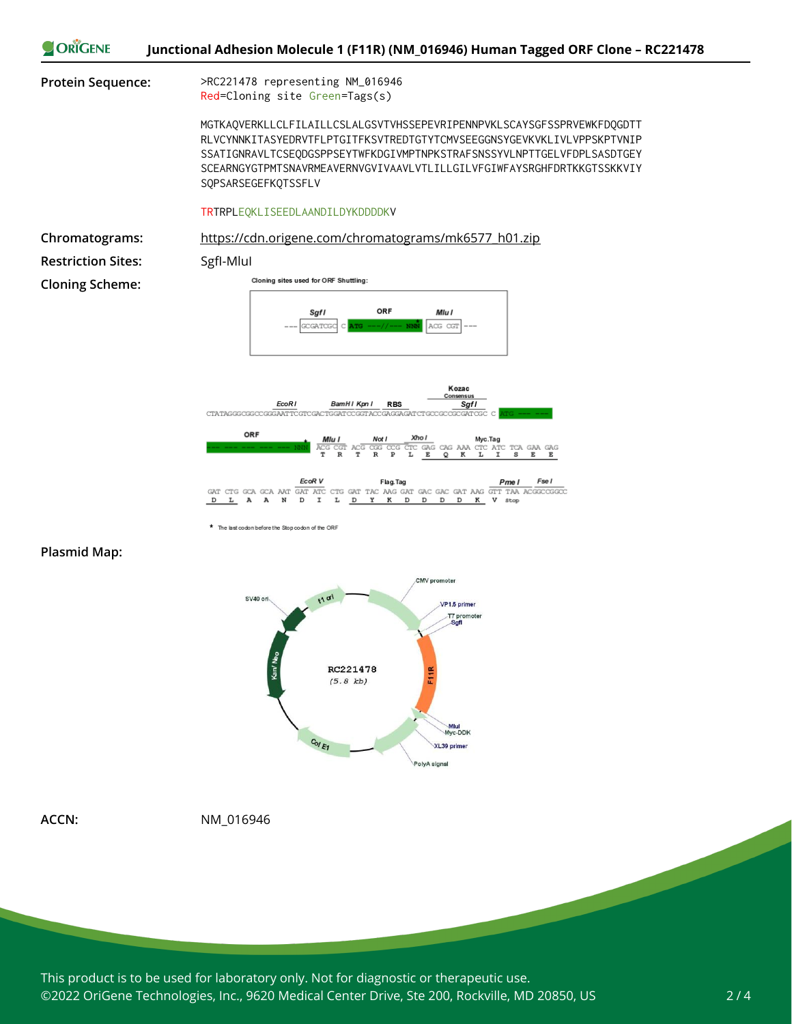



\* The last codon before the Stop codon of the ORF

#### **Plasmid Map:**



**ACCN:** NM\_016946

This product is to be used for laboratory only. Not for diagnostic or therapeutic use. ©2022 OriGene Technologies, Inc., 9620 Medical Center Drive, Ste 200, Rockville, MD 20850, US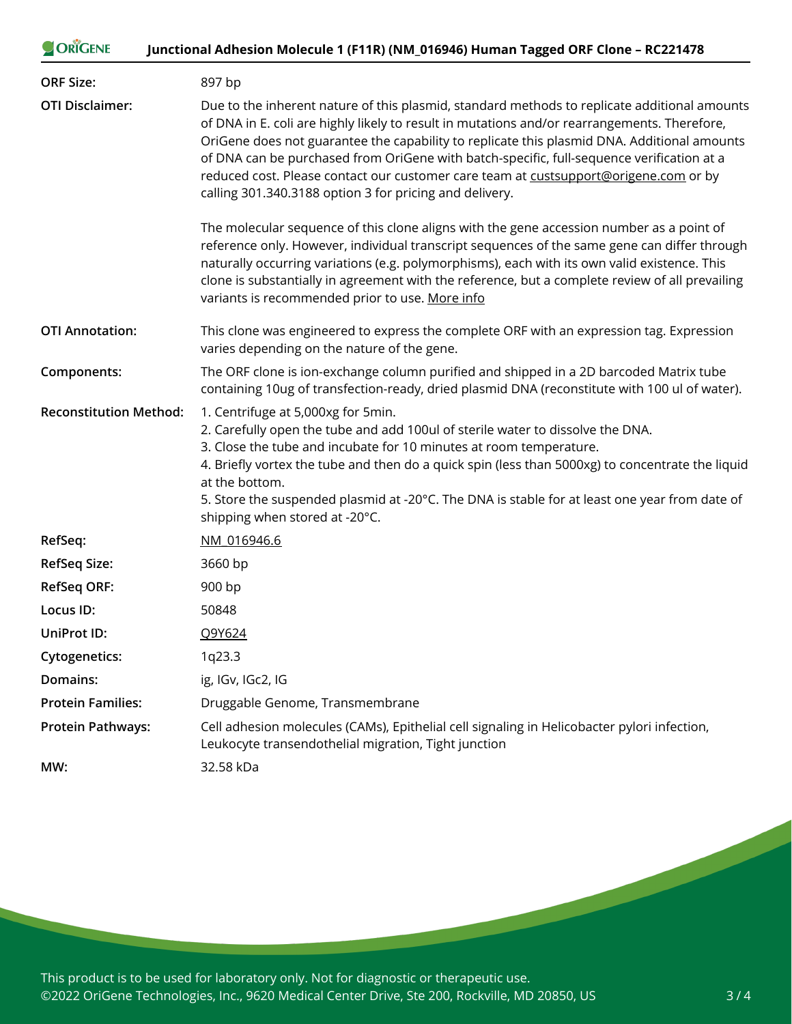| ORIGENE                       | Junctional Adhesion Molecule 1 (F11R) (NM_016946) Human Tagged ORF Clone - RC221478                                                                                                                                                                                                                                                                                                                                                                                                                                                         |
|-------------------------------|---------------------------------------------------------------------------------------------------------------------------------------------------------------------------------------------------------------------------------------------------------------------------------------------------------------------------------------------------------------------------------------------------------------------------------------------------------------------------------------------------------------------------------------------|
| <b>ORF Size:</b>              | 897 bp                                                                                                                                                                                                                                                                                                                                                                                                                                                                                                                                      |
| <b>OTI Disclaimer:</b>        | Due to the inherent nature of this plasmid, standard methods to replicate additional amounts<br>of DNA in E. coli are highly likely to result in mutations and/or rearrangements. Therefore,<br>OriGene does not guarantee the capability to replicate this plasmid DNA. Additional amounts<br>of DNA can be purchased from OriGene with batch-specific, full-sequence verification at a<br>reduced cost. Please contact our customer care team at custsupport@origene.com or by<br>calling 301.340.3188 option 3 for pricing and delivery. |
|                               | The molecular sequence of this clone aligns with the gene accession number as a point of<br>reference only. However, individual transcript sequences of the same gene can differ through<br>naturally occurring variations (e.g. polymorphisms), each with its own valid existence. This<br>clone is substantially in agreement with the reference, but a complete review of all prevailing<br>variants is recommended prior to use. More info                                                                                              |
| <b>OTI Annotation:</b>        | This clone was engineered to express the complete ORF with an expression tag. Expression<br>varies depending on the nature of the gene.                                                                                                                                                                                                                                                                                                                                                                                                     |
| Components:                   | The ORF clone is ion-exchange column purified and shipped in a 2D barcoded Matrix tube<br>containing 10ug of transfection-ready, dried plasmid DNA (reconstitute with 100 ul of water).                                                                                                                                                                                                                                                                                                                                                     |
| <b>Reconstitution Method:</b> | 1. Centrifuge at 5,000xg for 5min.<br>2. Carefully open the tube and add 100ul of sterile water to dissolve the DNA.<br>3. Close the tube and incubate for 10 minutes at room temperature.<br>4. Briefly vortex the tube and then do a quick spin (less than 5000xg) to concentrate the liquid<br>at the bottom.<br>5. Store the suspended plasmid at -20°C. The DNA is stable for at least one year from date of<br>shipping when stored at -20°C.                                                                                         |
| RefSeq:                       | NM 016946.6                                                                                                                                                                                                                                                                                                                                                                                                                                                                                                                                 |
| <b>RefSeq Size:</b>           | 3660 bp                                                                                                                                                                                                                                                                                                                                                                                                                                                                                                                                     |
| <b>RefSeq ORF:</b>            | 900 bp                                                                                                                                                                                                                                                                                                                                                                                                                                                                                                                                      |
| Locus ID:                     | 50848                                                                                                                                                                                                                                                                                                                                                                                                                                                                                                                                       |
| <b>UniProt ID:</b>            | Q9Y624                                                                                                                                                                                                                                                                                                                                                                                                                                                                                                                                      |
| <b>Cytogenetics:</b>          | 1q23.3                                                                                                                                                                                                                                                                                                                                                                                                                                                                                                                                      |
| Domains:                      | ig, IGv, IGc2, IG                                                                                                                                                                                                                                                                                                                                                                                                                                                                                                                           |
| <b>Protein Families:</b>      | Druggable Genome, Transmembrane                                                                                                                                                                                                                                                                                                                                                                                                                                                                                                             |
| <b>Protein Pathways:</b>      | Cell adhesion molecules (CAMs), Epithelial cell signaling in Helicobacter pylori infection,<br>Leukocyte transendothelial migration, Tight junction                                                                                                                                                                                                                                                                                                                                                                                         |
| MW:                           | 32.58 kDa                                                                                                                                                                                                                                                                                                                                                                                                                                                                                                                                   |

This product is to be used for laboratory only. Not for diagnostic or therapeutic use. ©2022 OriGene Technologies, Inc., 9620 Medical Center Drive, Ste 200, Rockville, MD 20850, US